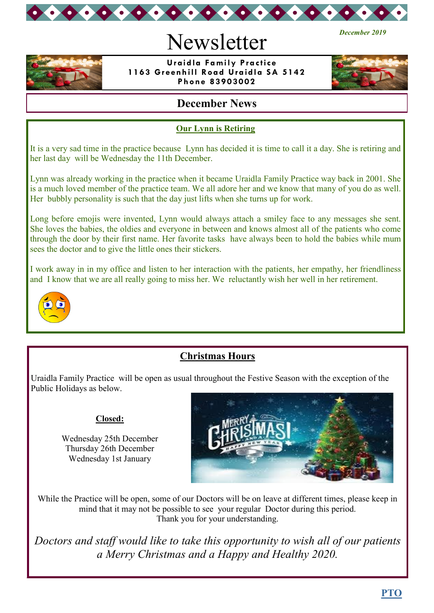

# Newsletter



 **Uraidla Family Practice 1163 Greenhill Road Uraidla SA 5142 Phone 83903002**



*December 2019*

## **December News**

#### **Our Lynn is Retiring**

It is a very sad time in the practice because Lynn has decided it is time to call it a day. She is retiring and her last day will be Wednesday the 11th December.

Lynn was already working in the practice when it became Uraidla Family Practice way back in 2001. She is a much loved member of the practice team. We all adore her and we know that many of you do as well. Her bubbly personality is such that the day just lifts when she turns up for work.

Long before emojis were invented, Lynn would always attach a smiley face to any messages she sent. She loves the babies, the oldies and everyone in between and knows almost all of the patients who come through the door by their first name. Her favorite tasks have always been to hold the babies while mum sees the doctor and to give the little ones their stickers.

I work away in in my office and listen to her interaction with the patients, her empathy, her friendliness and I know that we are all really going to miss her. We reluctantly wish her well in her retirement.



## **Christmas Hours**

Uraidla Family Practice will be open as usual throughout the Festive Season with the exception of the Public Holidays as below.

#### **Closed:**

Wednesday 25th December Thursday 26th December Wednesday 1st January



While the Practice will be open, some of our Doctors will be on leave at different times, please keep in mind that it may not be possible to see your regular Doctor during this period. Thank you for your understanding.

*Doctors and staff would like to take this opportunity to wish all of our patients a Merry Christmas and a Happy and Healthy 2020.*